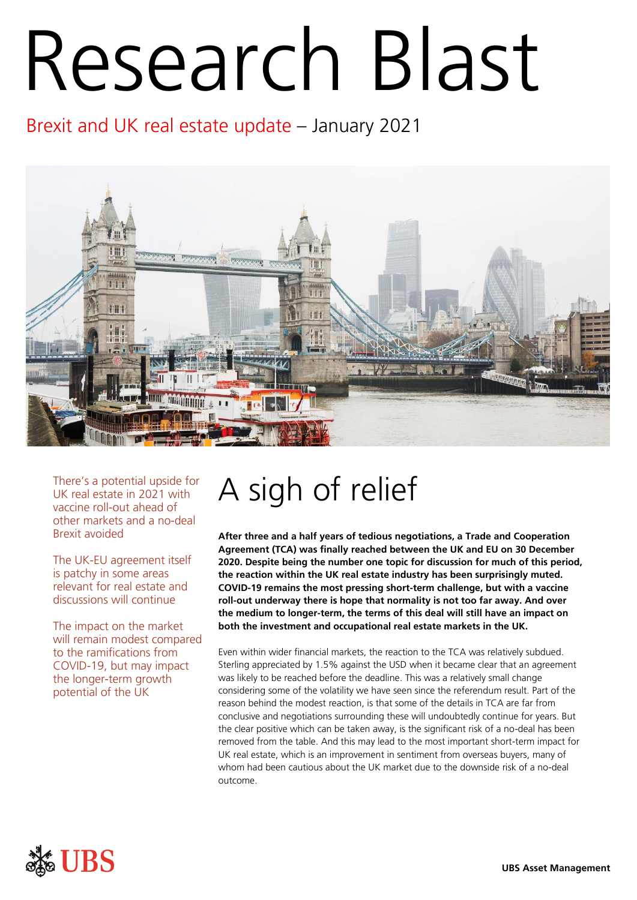# Research Blast

Brexit and UK real estate update – January 2021



There's a potential upside for UK real estate in 2021 with vaccine roll-out ahead of other markets and a no-deal Brexit avoided

The UK-EU agreement itself is patchy in some areas relevant for real estate and discussions will continue

The impact on the market will remain modest compared to the ramifications from COVID-19, but may impact the longer-term growth potential of the UK

# A sigh of relief

**After three and a half years of tedious negotiations, a Trade and Cooperation Agreement (TCA) was finally reached between the UK and EU on 30 December 2020. Despite being the number one topic for discussion for much of this period, the reaction within the UK real estate industry has been surprisingly muted. COVID-19 remains the most pressing short-term challenge, but with a vaccine roll-out underway there is hope that normality is not too far away. And over the medium to longer-term, the terms of this deal will still have an impact on both the investment and occupational real estate markets in the UK.** 

Even within wider financial markets, the reaction to the TCA was relatively subdued. Sterling appreciated by 1.5% against the USD when it became clear that an agreement was likely to be reached before the deadline. This was a relatively small change considering some of the volatility we have seen since the referendum result. Part of the reason behind the modest reaction, is that some of the details in TCA are far from conclusive and negotiations surrounding these will undoubtedly continue for years. But the clear positive which can be taken away, is the significant risk of a no-deal has been removed from the table. And this may lead to the most important short-term impact for UK real estate, which is an improvement in sentiment from overseas buyers, many of whom had been cautious about the UK market due to the downside risk of a no-deal outcome.

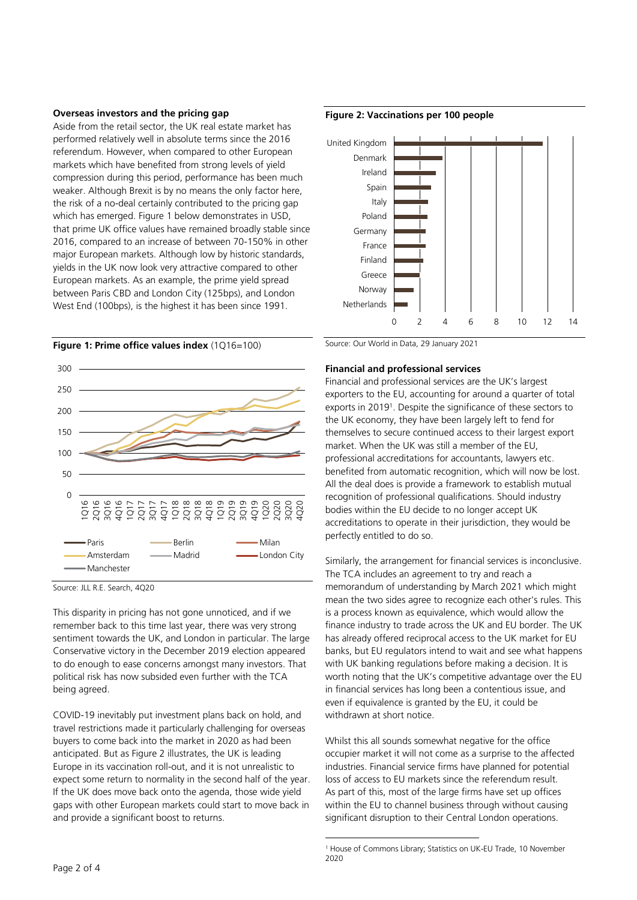### **Overseas investors and the pricing gap**

Aside from the retail sector, the UK real estate market has performed relatively well in absolute terms since the 2016 referendum. However, when compared to other European markets which have benefited from strong levels of yield compression during this period, performance has been much weaker. Although Brexit is by no means the only factor here, the risk of a no-deal certainly contributed to the pricing gap which has emerged. Figure 1 below demonstrates in USD, that prime UK office values have remained broadly stable since 2016, compared to an increase of between 70-150% in other major European markets. Although low by historic standards, yields in the UK now look very attractive compared to other European markets. As an example, the prime yield spread between Paris CBD and London City (125bps), and London West End (100bps), is the highest it has been since 1991.





Source: JLL R.E. Search, 4Q20

This disparity in pricing has not gone unnoticed, and if we remember back to this time last year, there was very strong sentiment towards the UK, and London in particular. The large Conservative victory in the December 2019 election appeared to do enough to ease concerns amongst many investors. That political risk has now subsided even further with the TCA being agreed.

COVID-19 inevitably put investment plans back on hold, and travel restrictions made it particularly challenging for overseas buyers to come back into the market in 2020 as had been anticipated. But as Figure 2 illustrates, the UK is leading Europe in its vaccination roll-out, and it is not unrealistic to expect some return to normality in the second half of the year. If the UK does move back onto the agenda, those wide yield gaps with other European markets could start to move back in and provide a significant boost to returns.



**Figure 2: Vaccinations per 100 people** 

Source: Our World in Data, 29 January 2021

# **Financial and professional services**

Financial and professional services are the UK's largest exporters to the EU, accounting for around a quarter of total exports in 2019<sup>1</sup> . Despite the significance of these sectors to the UK economy, they have been largely left to fend for themselves to secure continued access to their largest export market. When the UK was still a member of the EU, professional accreditations for accountants, lawyers etc. benefited from automatic recognition, which will now be lost. All the deal does is provide a framework to establish mutual recognition of professional qualifications. Should industry bodies within the EU decide to no longer accept UK accreditations to operate in their jurisdiction, they would be perfectly entitled to do so.

Similarly, the arrangement for financial services is inconclusive. The TCA includes an agreement to try and reach a memorandum of understanding by March 2021 which might mean the two sides agree to recognize each other's rules. This is a process known as equivalence, which would allow the finance industry to trade across the UK and EU border. The UK has already offered reciprocal access to the UK market for EU banks, but EU regulators intend to wait and see what happens with UK banking regulations before making a decision. It is worth noting that the UK's competitive advantage over the EU in financial services has long been a contentious issue, and even if equivalence is granted by the EU, it could be withdrawn at short notice.

Whilst this all sounds somewhat negative for the office occupier market it will not come as a surprise to the affected industries. Financial service firms have planned for potential loss of access to EU markets since the referendum result. As part of this, most of the large firms have set up offices within the EU to channel business through without causing significant disruption to their Central London operations.

<sup>1</sup> House of Commons Library; Statistics on UK-EU Trade, 10 November 2020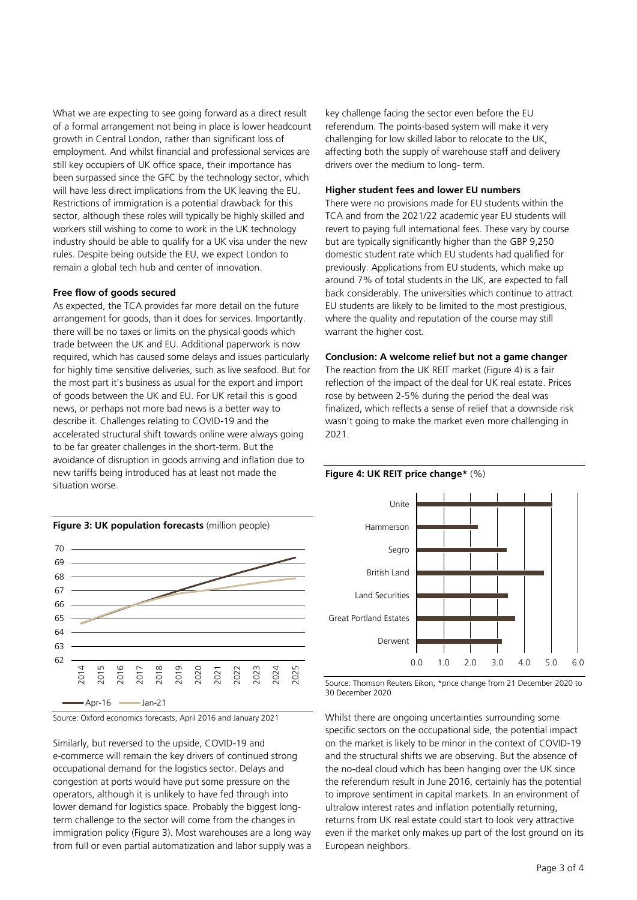What we are expecting to see going forward as a direct result of a formal arrangement not being in place is lower headcount growth in Central London, rather than significant loss of employment. And whilst financial and professional services are still key occupiers of UK office space, their importance has been surpassed since the GFC by the technology sector, which will have less direct implications from the UK leaving the EU. Restrictions of immigration is a potential drawback for this sector, although these roles will typically be highly skilled and workers still wishing to come to work in the UK technology industry should be able to qualify for a UK visa under the new rules. Despite being outside the EU, we expect London to remain a global tech hub and center of innovation.

### **Free flow of goods secured**

As expected, the TCA provides far more detail on the future arrangement for goods, than it does for services. Importantly. there will be no taxes or limits on the physical goods which trade between the UK and EU. Additional paperwork is now required, which has caused some delays and issues particularly for highly time sensitive deliveries, such as live seafood. But for the most part it's business as usual for the export and import of goods between the UK and EU. For UK retail this is good news, or perhaps not more bad news is a better way to describe it. Challenges relating to COVID-19 and the accelerated structural shift towards online were always going to be far greater challenges in the short-term. But the avoidance of disruption in goods arriving and inflation due to new tariffs being introduced has at least not made the situation worse.

key challenge facing the sector even before the EU referendum. The points-based system will make it very challenging for low skilled labor to relocate to the UK, affecting both the supply of warehouse staff and delivery drivers over the medium to long- term.

### **Higher student fees and lower EU numbers**

There were no provisions made for EU students within the TCA and from the 2021/22 academic year EU students will revert to paying full international fees. These vary by course but are typically significantly higher than the GBP 9,250 domestic student rate which EU students had qualified for previously. Applications from EU students, which make up around 7% of total students in the UK, are expected to fall back considerably. The universities which continue to attract EU students are likely to be limited to the most prestigious, where the quality and reputation of the course may still warrant the higher cost.

## **Conclusion: A welcome relief but not a game changer**

The reaction from the UK REIT market (Figure 4) is a fair reflection of the impact of the deal for UK real estate. Prices rose by between 2-5% during the period the deal was finalized, which reflects a sense of relief that a downside risk wasn't going to make the market even more challenging in 2021.

### **Figure 4: UK REIT price change\*** (%)



Source: Oxford economics forecasts, April 2016 and January 2021

Similarly, but reversed to the upside, COVID-19 and e-commerce will remain the key drivers of continued strong occupational demand for the logistics sector. Delays and congestion at ports would have put some pressure on the operators, although it is unlikely to have fed through into lower demand for logistics space. Probably the biggest longterm challenge to the sector will come from the changes in immigration policy (Figure 3). Most warehouses are a long way from full or even partial automatization and labor supply was a



Source: Thomson Reuters Eikon, \*price change from 21 December 2020 to 30 December 2020

Whilst there are ongoing uncertainties surrounding some specific sectors on the occupational side, the potential impact on the market is likely to be minor in the context of COVID-19 and the structural shifts we are observing. But the absence of the no-deal cloud which has been hanging over the UK since the referendum result in June 2016, certainly has the potential to improve sentiment in capital markets. In an environment of ultralow interest rates and inflation potentially returning, returns from UK real estate could start to look very attractive even if the market only makes up part of the lost ground on its European neighbors.